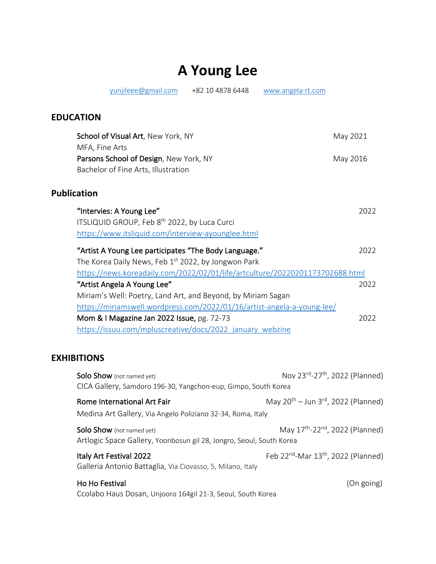## **A Young Lee**

yunjileee@gmail.com +82 10 4878 6448 www.angela-rt.com

## **EDUCATION**

| School of Visual Art, New York, NY                                            | May 2021 |
|-------------------------------------------------------------------------------|----------|
| MFA, Fine Arts                                                                |          |
| Parsons School of Design, New York, NY                                        | May 2016 |
| Bachelor of Fine Arts, Illustration                                           |          |
| <b>Publication</b>                                                            |          |
| "Intervies: A Young Lee"                                                      | 2022     |
| ITSLIQUID GROUP, Feb 8 <sup>th</sup> 2022, by Luca Curci                      |          |
| https://www.itsliquid.com/interview-ayounglee.html                            |          |
| "Artist A Young Lee participates "The Body Language."                         | 2022     |
| The Korea Daily News, Feb 1st 2022, by Jongwon Park                           |          |
| https://news.koreadaily.com/2022/02/01/life/artculture/20220201173702688.html |          |
| "Artist Angela A Young Lee"                                                   | 2022     |
| Miriam's Well: Poetry, Land Art, and Beyond, by Miriam Sagan                  |          |
| https://miriamswell.wordpress.com/2022/01/16/artist-angela-a-young-lee/       |          |
| Mom & I Magazine Jan 2022 Issue, pg. 72-73                                    | 2022     |
| https://issuu.com/mpluscreative/docs/2022 january webzine                     |          |

## **EXHIBITIONS**

| <b>Solo Show</b> (not named yet)<br>CICA Gallery, Samdoro 196-30, Yangchon-eup, Gimpo, South Korea | Nov 23rd-27th, 2022 (Planned)                               |
|----------------------------------------------------------------------------------------------------|-------------------------------------------------------------|
| Rome International Art Fair<br>Medina Art Gallery, Via Angelo Poliziano 32-34, Roma, Italy         | May $20^{th}$ – Jun 3 <sup>rd</sup> , 2022 (Planned)        |
| Solo Show (not named yet)<br>Artlogic Space Gallery, Yoonbosun gil 28, Jongro, Seoul, South Korea  | May 17 <sup>th</sup> -22 <sup>nd</sup> , 2022 (Planned)     |
| Italy Art Festival 2022<br>Galleria Antonio Battaglia, Via Ciovasso, 5, Milano, Italy              | Feb 22 <sup>nd</sup> -Mar 13 <sup>th</sup> , 2022 (Planned) |
| Ho Ho Festival<br>Ccolabo Haus Dosan, Unjooro 164gil 21-3, Seoul, South Korea                      | (On going)                                                  |